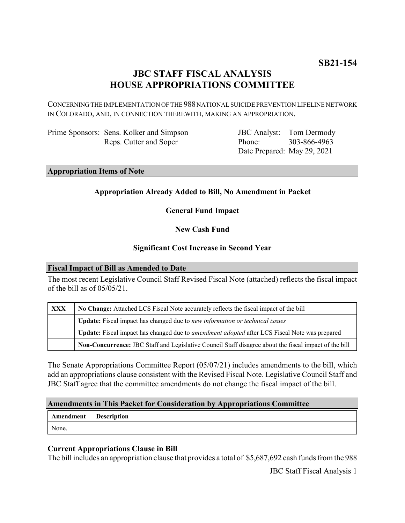# **JBC STAFF FISCAL ANALYSIS HOUSE APPROPRIATIONS COMMITTEE**

CONCERNING THE IMPLEMENTATION OF THE 988 NATIONAL SUICIDE PREVENTION LIFELINE NETWORK IN COLORADO, AND, IN CONNECTION THEREWITH, MAKING AN APPROPRIATION.

Prime Sponsors: Sens. Kolker and Simpson Reps. Cutter and Soper

JBC Analyst: Tom Dermody Phone: Date Prepared: May 29, 2021 303-866-4963

**Appropriation Items of Note**

## **Appropriation Already Added to Bill, No Amendment in Packet**

**General Fund Impact**

**New Cash Fund**

### **Significant Cost Increase in Second Year**

#### **Fiscal Impact of Bill as Amended to Date**

The most recent Legislative Council Staff Revised Fiscal Note (attached) reflects the fiscal impact of the bill as of 05/05/21.

| <b>XXX</b> | No Change: Attached LCS Fiscal Note accurately reflects the fiscal impact of the bill                 |
|------------|-------------------------------------------------------------------------------------------------------|
|            | Update: Fiscal impact has changed due to new information or technical issues                          |
|            | Update: Fiscal impact has changed due to <i>amendment adopted</i> after LCS Fiscal Note was prepared  |
|            | Non-Concurrence: JBC Staff and Legislative Council Staff disagree about the fiscal impact of the bill |

The Senate Appropriations Committee Report (05/07/21) includes amendments to the bill, which add an appropriations clause consistent with the Revised Fiscal Note. Legislative Council Staff and JBC Staff agree that the committee amendments do not change the fiscal impact of the bill.

#### **Amendments in This Packet for Consideration by Appropriations Committee**

**Amendment Description** None.

### **Current Appropriations Clause in Bill**

The bill includes an appropriation clause that provides a total of \$5,687,692 cash funds from the 988

JBC Staff Fiscal Analysis 1